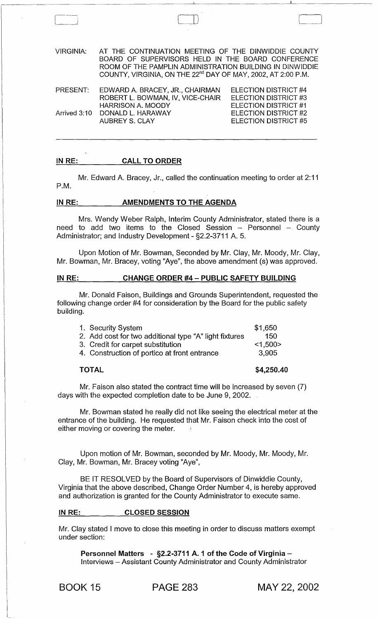| <b>VIRGINIA:</b> | AT THE CONTINUATION MEETING OF THE DINWIDDIE COUNTY<br>BOARD OF SUPERVISORS HELD IN THE BOARD CONFERENCE<br>ROOM OF THE PAMPLIN ADMINISTRATION BUILDING IN DINWIDDIE<br>COUNTY, VIRGINIA, ON THE 22 <sup>nd</sup> DAY OF MAY, 2002, AT 2:00 P.M. |                                              |
|------------------|--------------------------------------------------------------------------------------------------------------------------------------------------------------------------------------------------------------------------------------------------|----------------------------------------------|
| PRESENT:         | EDWARD A. BRACEY, JR., CHAIRMAN<br>ROBERT L. BOWMAN, IV, VICE-CHAIR                                                                                                                                                                              | ELECTION DISTRICT #4<br>ELECTION DISTRICT #3 |
|                  | <b>HARRISON A. MOODY</b>                                                                                                                                                                                                                         | ELECTION DISTRICT #1                         |
|                  | Arrived 3:10 DONALD L. HARAWAY                                                                                                                                                                                                                   | ELECTION DISTRICT #2                         |
|                  | <b>AUBREY S. CLAY</b>                                                                                                                                                                                                                            | ELECTION DISTRICT #5                         |

## IN RE: CALL TO ORDER

 $\begin{picture}(180,10) \put(0,0){\line(1,0){10}} \put(10,0){\line(1,0){10}} \put(10,0){\line(1,0){10}} \put(10,0){\line(1,0){10}} \put(10,0){\line(1,0){10}} \put(10,0){\line(1,0){10}} \put(10,0){\line(1,0){10}} \put(10,0){\line(1,0){10}} \put(10,0){\line(1,0){10}} \put(10,0){\line(1,0){10}} \put(10,0){\line(1,0){10}} \put(10,0){\line($ 

Mr. Edward A. Bracey, Jr., called the continuation meeting to order at 2:11 P.M.

### IN RE: \_\_\_\_\_\_\_\_ AMENDMENTS TO THE AGENDA

Mrs. Wendy Weber Ralph, Interim County Administrator, stated there is a need to add two items to the Closed Session  $-$  Personnel  $-$  County Administrator; and Industry Development - §2.2-3711 A. 5.

Upon Motion of Mr. Bowman, Seconded by Mr. Clay, Mr. Moody, Mr. Clay, Mr. Bowman, Mr. Bracey, voting "Aye", the above amendment (s) was approved.

## IN RE: CHANGE ORDER #4 - PUBLIC SAFETY BUILDING

Mr. Donald Faison, Buildings and Grounds Superintendent, requested the following change order #4 for consideration by the Board for the public safety building.

| 1. Security System                                     | \$1,650 |
|--------------------------------------------------------|---------|
| 2. Add cost for two additional type "A" light fixtures | 150     |
| 3. Credit for carpet substitution                      | < 1,500 |
| 4. Construction of portico at front entrance           | 3,905   |
|                                                        |         |

#### TOTAL

#### \$4,250.40

Mr. Faison also stated the contract time will be increased by seven (7) days with the expected completion date to be June 9, 2002.

Mr. Bowman stated he really did not like seeing the electrical meter at the entrance of the building. He requested that Mr. Faison check into the cost of either moving or covering the meter.

Upon motion of Mr. Bowman, seconded by Mr. Moody, Mr. Moody, Mr. Clay, Mr. Bowman, Mr. Bracey voting "Aye",

BE IT RESOLVED by the Board of Supervisors of Dinwiddie County, Virginia that the above described, Change Order Number 4, is hereby approved and authorization is granted for the County Administrator to execute same.

#### IN RE: CLOSED SESSION

Mr. Clay stated I move to close this meeting in order to discuss matters exempt under section:

Personnel Matters  $-$  §2.2-3711 A. 1 of the Code of Virginia  $-$ Interviews - Assistant County Administrator and County Administrator